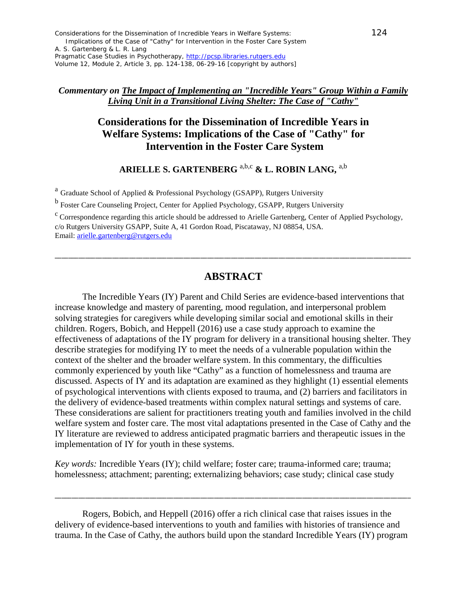Volume 12, Module 2, Article 3, pp. 124-138, 06-29-16 [copyright by authors]

#### *Commentary on The Impact of Implementing an "Incredible Years" Group Within a Family Living Unit in a Transitional Living Shelter: The Case of "Cathy"*

# **Considerations for the Dissemination of Incredible Years in Welfare Systems: Implications of the Case of "Cathy" for Intervention in the Foster Care System**

## **ARIELLE S. GARTENBERG** a,b,c **& L. ROBIN LANG,** a,b

<sup>a</sup> Graduate School of Applied & Professional Psychology (GSAPP), Rutgers University

<sup>b</sup> Foster Care Counseling Project, Center for Applied Psychology, GSAPP, Rutgers University

 $c$  Correspondence regarding this article should be addressed to Arielle Gartenberg, Center of Applied Psychology, c/o Rutgers University GSAPP, Suite A, 41 Gordon Road, Piscataway, NJ 08854, USA. Email: [arielle.gartenberg@rutgers.edu](mailto:arielle.gartenberg@rutgers.edu)

## **ABSTRACT**

\_\_\_\_\_\_\_\_\_\_\_\_\_\_\_\_\_\_\_\_\_\_\_\_\_\_\_\_\_\_\_\_\_\_\_\_\_\_\_\_\_\_\_\_\_\_\_\_\_\_\_\_\_\_\_\_\_\_\_\_\_\_\_\_\_\_\_\_\_\_\_\_\_\_\_\_\_\_\_\_\_\_\_\_\_\_\_\_\_\_\_\_\_\_\_\_\_\_\_\_\_\_\_\_\_

The Incredible Years (IY) Parent and Child Series are evidence-based interventions that increase knowledge and mastery of parenting, mood regulation, and interpersonal problem solving strategies for caregivers while developing similar social and emotional skills in their children. Rogers, Bobich, and Heppell (2016) use a case study approach to examine the effectiveness of adaptations of the IY program for delivery in a transitional housing shelter. They describe strategies for modifying IY to meet the needs of a vulnerable population within the context of the shelter and the broader welfare system. In this commentary, the difficulties commonly experienced by youth like "Cathy" as a function of homelessness and trauma are discussed. Aspects of IY and its adaptation are examined as they highlight (1) essential elements of psychological interventions with clients exposed to trauma, and (2) barriers and facilitators in the delivery of evidence-based treatments within complex natural settings and systems of care. These considerations are salient for practitioners treating youth and families involved in the child welfare system and foster care. The most vital adaptations presented in the Case of Cathy and the IY literature are reviewed to address anticipated pragmatic barriers and therapeutic issues in the implementation of IY for youth in these systems.

*Key words:* Incredible Years (IY); child welfare; foster care; trauma-informed care; trauma; homelessness; attachment; parenting; externalizing behaviors; case study; clinical case study

Rogers, Bobich, and Heppell (2016) offer a rich clinical case that raises issues in the delivery of evidence-based interventions to youth and families with histories of transience and trauma. In the Case of Cathy, the authors build upon the standard Incredible Years (IY) program

\_\_\_\_\_\_\_\_\_\_\_\_\_\_\_\_\_\_\_\_\_\_\_\_\_\_\_\_\_\_\_\_\_\_\_\_\_\_\_\_\_\_\_\_\_\_\_\_\_\_\_\_\_\_\_\_\_\_\_\_\_\_\_\_\_\_\_\_\_\_\_\_\_\_\_\_\_\_\_\_\_\_\_\_\_\_\_\_\_\_\_\_\_\_\_\_\_\_\_\_\_\_\_\_\_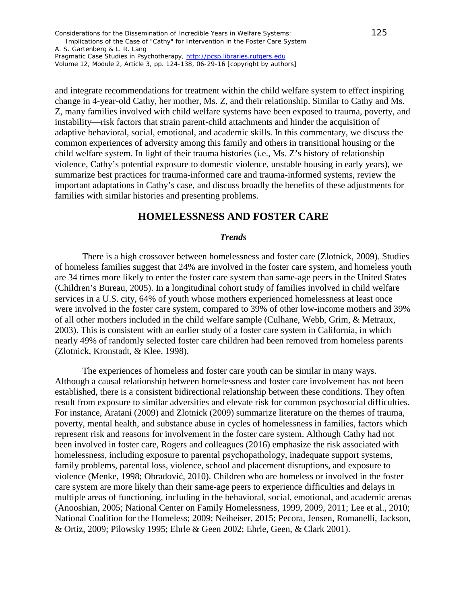Considerations for the Dissemination of Incredible Years in Welfare Systems: 125 Implications of the Case of "Cathy" for Intervention in the Foster Care System

A. S. Gartenberg & L. R. Lang *Pragmatic Case Studies in Psychotherapy*, [http://pcsp.libraries.rutgers.edu](http://pcsp.libraries.rutgers.edu/)

Volume 12, Module 2, Article 3, pp. 124-138, 06-29-16 [copyright by authors]

and integrate recommendations for treatment within the child welfare system to effect inspiring change in 4-year-old Cathy, her mother, Ms. Z, and their relationship. Similar to Cathy and Ms. Z, many families involved with child welfare systems have been exposed to trauma, poverty, and instability—risk factors that strain parent-child attachments and hinder the acquisition of adaptive behavioral, social, emotional, and academic skills. In this commentary, we discuss the common experiences of adversity among this family and others in transitional housing or the child welfare system. In light of their trauma histories (i.e., Ms. Z's history of relationship violence, Cathy's potential exposure to domestic violence, unstable housing in early years), we summarize best practices for trauma-informed care and trauma-informed systems, review the important adaptations in Cathy's case, and discuss broadly the benefits of these adjustments for families with similar histories and presenting problems.

### **HOMELESSNESS AND FOSTER CARE**

#### *Trends*

There is a high crossover between homelessness and foster care (Zlotnick, 2009). Studies of homeless families suggest that 24% are involved in the foster care system, and homeless youth are 34 times more likely to enter the foster care system than same-age peers in the United States (Children's Bureau, 2005). In a longitudinal cohort study of families involved in child welfare services in a U.S. city, 64% of youth whose mothers experienced homelessness at least once were involved in the foster care system, compared to 39% of other low-income mothers and 39% of all other mothers included in the child welfare sample (Culhane, Webb, Grim, & Metraux, 2003). This is consistent with an earlier study of a foster care system in California, in which nearly 49% of randomly selected foster care children had been removed from homeless parents (Zlotnick, Kronstadt, & Klee, 1998).

The experiences of homeless and foster care youth can be similar in many ways. Although a causal relationship between homelessness and foster care involvement has not been established, there is a consistent bidirectional relationship between these conditions. They often result from exposure to similar adversities and elevate risk for common psychosocial difficulties. For instance, Aratani (2009) and Zlotnick (2009) summarize literature on the themes of trauma, poverty, mental health, and substance abuse in cycles of homelessness in families, factors which represent risk and reasons for involvement in the foster care system. Although Cathy had not been involved in foster care, Rogers and colleagues (2016) emphasize the risk associated with homelessness, including exposure to parental psychopathology, inadequate support systems, family problems, parental loss, violence, school and placement disruptions, and exposure to violence (Menke, 1998; Obradović, 2010). Children who are homeless or involved in the foster care system are more likely than their same-age peers to experience difficulties and delays in multiple areas of functioning, including in the behavioral, social, emotional, and academic arenas (Anooshian, 2005; National Center on Family Homelessness, 1999, 2009, 2011; Lee et al., 2010; National Coalition for the Homeless; 2009; Neiheiser, 2015; Pecora, Jensen, Romanelli, Jackson, & Ortiz, 2009; Pilowsky 1995; Ehrle & Geen 2002; Ehrle, Geen, & Clark 2001).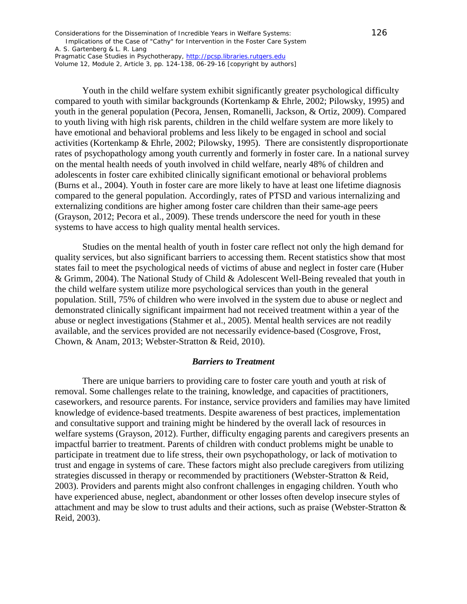Considerations for the Dissemination of Incredible Years in Welfare Systems: 126 Implications of the Case of "Cathy" for Intervention in the Foster Care System

A. S. Gartenberg & L. R. Lang

*Pragmatic Case Studies in Psychotherapy*, [http://pcsp.libraries.rutgers.edu](http://pcsp.libraries.rutgers.edu/) Volume 12, Module 2, Article 3, pp. 124-138, 06-29-16 [copyright by authors]

Youth in the child welfare system exhibit significantly greater psychological difficulty compared to youth with similar backgrounds (Kortenkamp & Ehrle, 2002; Pilowsky, 1995) and youth in the general population (Pecora, Jensen, Romanelli, Jackson, & Ortiz, 2009). Compared to youth living with high risk parents, children in the child welfare system are more likely to have emotional and behavioral problems and less likely to be engaged in school and social activities (Kortenkamp & Ehrle, 2002; Pilowsky, 1995). There are consistently disproportionate rates of psychopathology among youth currently and formerly in foster care. In a national survey on the mental health needs of youth involved in child welfare, nearly 48% of children and adolescents in foster care exhibited clinically significant emotional or behavioral problems (Burns et al., 2004). Youth in foster care are more likely to have at least one lifetime diagnosis compared to the general population. Accordingly, rates of PTSD and various internalizing and externalizing conditions are higher among foster care children than their same-age peers (Grayson, 2012; Pecora et al., 2009). These trends underscore the need for youth in these systems to have access to high quality mental health services.

Studies on the mental health of youth in foster care reflect not only the high demand for quality services, but also significant barriers to accessing them. Recent statistics show that most states fail to meet the psychological needs of victims of abuse and neglect in foster care (Huber & Grimm, 2004). The National Study of Child & Adolescent Well-Being revealed that youth in the child welfare system utilize more psychological services than youth in the general population. Still, 75% of children who were involved in the system due to abuse or neglect and demonstrated clinically significant impairment had not received treatment within a year of the abuse or neglect investigations (Stahmer et al., 2005). Mental health services are not readily available, and the services provided are not necessarily evidence-based (Cosgrove, Frost, Chown, & Anam, 2013; Webster-Stratton & Reid, 2010).

#### *Barriers to Treatment*

There are unique barriers to providing care to foster care youth and youth at risk of removal. Some challenges relate to the training, knowledge, and capacities of practitioners, caseworkers, and resource parents. For instance, service providers and families may have limited knowledge of evidence-based treatments. Despite awareness of best practices, implementation and consultative support and training might be hindered by the overall lack of resources in welfare systems (Grayson, 2012). Further, difficulty engaging parents and caregivers presents an impactful barrier to treatment. Parents of children with conduct problems might be unable to participate in treatment due to life stress, their own psychopathology, or lack of motivation to trust and engage in systems of care. These factors might also preclude caregivers from utilizing strategies discussed in therapy or recommended by practitioners (Webster-Stratton & Reid, 2003). Providers and parents might also confront challenges in engaging children. Youth who have experienced abuse, neglect, abandonment or other losses often develop insecure styles of attachment and may be slow to trust adults and their actions, such as praise (Webster-Stratton & Reid, 2003).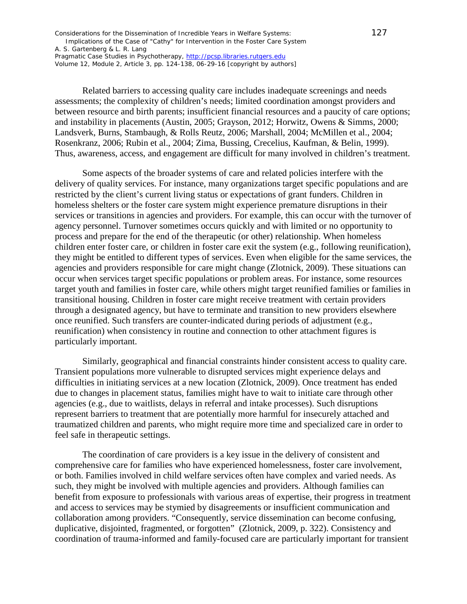Considerations for the Dissemination of Incredible Years in Welfare Systems: 127 Implications of the Case of "Cathy" for Intervention in the Foster Care System

A. S. Gartenberg & L. R. Lang *Pragmatic Case Studies in Psychotherapy*, [http://pcsp.libraries.rutgers.edu](http://pcsp.libraries.rutgers.edu/)

Volume 12, Module 2, Article 3, pp. 124-138, 06-29-16 [copyright by authors]

Related barriers to accessing quality care includes inadequate screenings and needs assessments; the complexity of children's needs; limited coordination amongst providers and between resource and birth parents; insufficient financial resources and a paucity of care options; and instability in placements (Austin, 2005; Grayson, 2012; Horwitz, Owens & Simms, 2000; Landsverk, Burns, Stambaugh, & Rolls Reutz, 2006; Marshall, 2004; McMillen et al., 2004; Rosenkranz, 2006; Rubin et al., 2004; Zima, Bussing, Crecelius, Kaufman, & Belin, 1999). Thus, awareness, access, and engagement are difficult for many involved in children's treatment.

Some aspects of the broader systems of care and related policies interfere with the delivery of quality services. For instance, many organizations target specific populations and are restricted by the client's current living status or expectations of grant funders. Children in homeless shelters or the foster care system might experience premature disruptions in their services or transitions in agencies and providers. For example, this can occur with the turnover of agency personnel. Turnover sometimes occurs quickly and with limited or no opportunity to process and prepare for the end of the therapeutic (or other) relationship. When homeless children enter foster care, or children in foster care exit the system (e.g., following reunification), they might be entitled to different types of services. Even when eligible for the same services, the agencies and providers responsible for care might change (Zlotnick, 2009). These situations can occur when services target specific populations or problem areas. For instance, some resources target youth and families in foster care, while others might target reunified families or families in transitional housing. Children in foster care might receive treatment with certain providers through a designated agency, but have to terminate and transition to new providers elsewhere once reunified. Such transfers are counter-indicated during periods of adjustment (e.g., reunification) when consistency in routine and connection to other attachment figures is particularly important.

Similarly, geographical and financial constraints hinder consistent access to quality care. Transient populations more vulnerable to disrupted services might experience delays and difficulties in initiating services at a new location (Zlotnick, 2009). Once treatment has ended due to changes in placement status, families might have to wait to initiate care through other agencies (e.g., due to waitlists, delays in referral and intake processes). Such disruptions represent barriers to treatment that are potentially more harmful for insecurely attached and traumatized children and parents, who might require more time and specialized care in order to feel safe in therapeutic settings.

The coordination of care providers is a key issue in the delivery of consistent and comprehensive care for families who have experienced homelessness, foster care involvement, or both. Families involved in child welfare services often have complex and varied needs. As such, they might be involved with multiple agencies and providers. Although families can benefit from exposure to professionals with various areas of expertise, their progress in treatment and access to services may be stymied by disagreements or insufficient communication and collaboration among providers. "Consequently, service dissemination can become confusing, duplicative, disjointed, fragmented, or forgotten" (Zlotnick, 2009, p. 322). Consistency and coordination of trauma-informed and family-focused care are particularly important for transient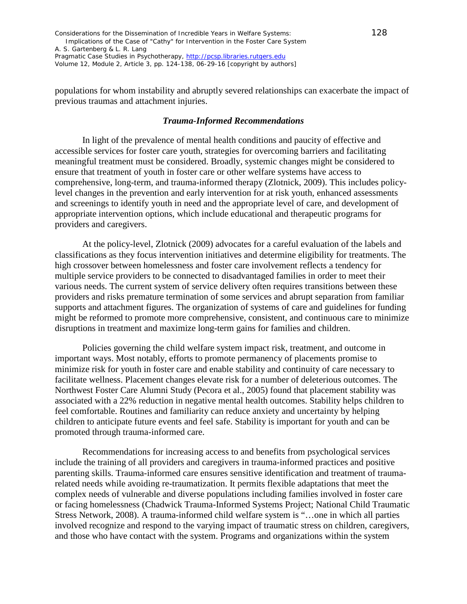populations for whom instability and abruptly severed relationships can exacerbate the impact of previous traumas and attachment injuries.

#### *Trauma-Informed Recommendations*

In light of the prevalence of mental health conditions and paucity of effective and accessible services for foster care youth, strategies for overcoming barriers and facilitating meaningful treatment must be considered. Broadly, systemic changes might be considered to ensure that treatment of youth in foster care or other welfare systems have access to comprehensive, long-term, and trauma-informed therapy (Zlotnick, 2009). This includes policylevel changes in the prevention and early intervention for at risk youth, enhanced assessments and screenings to identify youth in need and the appropriate level of care, and development of appropriate intervention options, which include educational and therapeutic programs for providers and caregivers.

At the policy-level, Zlotnick (2009) advocates for a careful evaluation of the labels and classifications as they focus intervention initiatives and determine eligibility for treatments. The high crossover between homelessness and foster care involvement reflects a tendency for multiple service providers to be connected to disadvantaged families in order to meet their various needs. The current system of service delivery often requires transitions between these providers and risks premature termination of some services and abrupt separation from familiar supports and attachment figures. The organization of systems of care and guidelines for funding might be reformed to promote more comprehensive, consistent, and continuous care to minimize disruptions in treatment and maximize long-term gains for families and children.

Policies governing the child welfare system impact risk, treatment, and outcome in important ways. Most notably, efforts to promote permanency of placements promise to minimize risk for youth in foster care and enable stability and continuity of care necessary to facilitate wellness. Placement changes elevate risk for a number of deleterious outcomes. The Northwest Foster Care Alumni Study (Pecora et al., 2005) found that placement stability was associated with a 22% reduction in negative mental health outcomes. Stability helps children to feel comfortable. Routines and familiarity can reduce anxiety and uncertainty by helping children to anticipate future events and feel safe. Stability is important for youth and can be promoted through trauma-informed care.

Recommendations for increasing access to and benefits from psychological services include the training of all providers and caregivers in trauma-informed practices and positive parenting skills. Trauma-informed care ensures sensitive identification and treatment of traumarelated needs while avoiding re-traumatization. It permits flexible adaptations that meet the complex needs of vulnerable and diverse populations including families involved in foster care or facing homelessness (Chadwick Trauma-Informed Systems Project; National Child Traumatic Stress Network, 2008). A trauma-informed child welfare system is "…one in which all parties involved recognize and respond to the varying impact of traumatic stress on children, caregivers, and those who have contact with the system. Programs and organizations within the system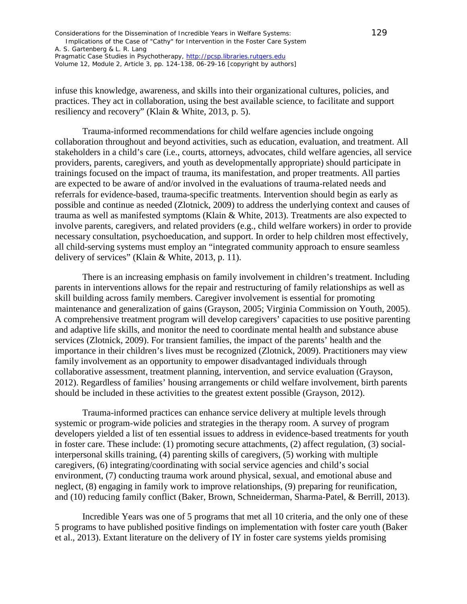| Considerations for the Dissemination of Incredible Years in Welfare Systems:      | 129 |
|-----------------------------------------------------------------------------------|-----|
| Implications of the Case of "Cathy" for Intervention in the Foster Care System    |     |
| A. S. Gartenberg & L. R. Lang                                                     |     |
| <i>Pragmatic Case Studies in Psychotherapy, http://pcsp.libraries.rutgers.edu</i> |     |
| Volume 12, Module 2, Article 3, pp. 124-138, 06-29-16 [copyright by authors]      |     |

infuse this knowledge, awareness, and skills into their organizational cultures, policies, and practices. They act in collaboration, using the best available science, to facilitate and support resiliency and recovery" (Klain & White, 2013, p. 5).

Trauma-informed recommendations for child welfare agencies include ongoing collaboration throughout and beyond activities, such as education, evaluation, and treatment. All stakeholders in a child's care (i.e., courts, attorneys, advocates, child welfare agencies, all service providers, parents, caregivers, and youth as developmentally appropriate) should participate in trainings focused on the impact of trauma, its manifestation, and proper treatments. All parties are expected to be aware of and/or involved in the evaluations of trauma-related needs and referrals for evidence-based, trauma-specific treatments. Intervention should begin as early as possible and continue as needed (Zlotnick, 2009) to address the underlying context and causes of trauma as well as manifested symptoms (Klain & White, 2013). Treatments are also expected to involve parents, caregivers, and related providers (e.g., child welfare workers) in order to provide necessary consultation, psychoeducation, and support. In order to help children most effectively, all child-serving systems must employ an "integrated community approach to ensure seamless delivery of services" (Klain & White, 2013, p. 11).

There is an increasing emphasis on family involvement in children's treatment. Including parents in interventions allows for the repair and restructuring of family relationships as well as skill building across family members. Caregiver involvement is essential for promoting maintenance and generalization of gains (Grayson, 2005; Virginia Commission on Youth, 2005). A comprehensive treatment program will develop caregivers' capacities to use positive parenting and adaptive life skills, and monitor the need to coordinate mental health and substance abuse services (Zlotnick, 2009). For transient families, the impact of the parents' health and the importance in their children's lives must be recognized (Zlotnick, 2009). Practitioners may view family involvement as an opportunity to empower disadvantaged individuals through collaborative assessment, treatment planning, intervention, and service evaluation (Grayson, 2012). Regardless of families' housing arrangements or child welfare involvement, birth parents should be included in these activities to the greatest extent possible (Grayson, 2012).

Trauma-informed practices can enhance service delivery at multiple levels through systemic or program-wide policies and strategies in the therapy room. A survey of program developers yielded a list of ten essential issues to address in evidence-based treatments for youth in foster care. These include: (1) promoting secure attachments, (2) affect regulation, (3) socialinterpersonal skills training, (4) parenting skills of caregivers, (5) working with multiple caregivers, (6) integrating/coordinating with social service agencies and child's social environment, (7) conducting trauma work around physical, sexual, and emotional abuse and neglect, (8) engaging in family work to improve relationships, (9) preparing for reunification, and (10) reducing family conflict (Baker, Brown, Schneiderman, Sharma-Patel, & Berrill, 2013).

Incredible Years was one of 5 programs that met all 10 criteria, and the only one of these 5 programs to have published positive findings on implementation with foster care youth (Baker et al., 2013). Extant literature on the delivery of IY in foster care systems yields promising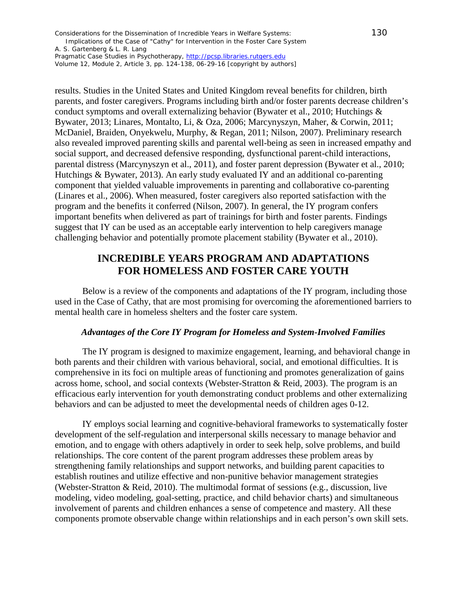Considerations for the Dissemination of Incredible Years in Welfare Systems: 130 Implications of the Case of "Cathy" for Intervention in the Foster Care System

A. S. Gartenberg & L. R. Lang *Pragmatic Case Studies in Psychotherapy*, [http://pcsp.libraries.rutgers.edu](http://pcsp.libraries.rutgers.edu/)

Volume 12, Module 2, Article 3, pp. 124-138, 06-29-16 [copyright by authors]

results. Studies in the United States and United Kingdom reveal benefits for children, birth parents, and foster caregivers. Programs including birth and/or foster parents decrease children's conduct symptoms and overall externalizing behavior (Bywater et al., 2010; Hutchings & Bywater, 2013; Linares, Montalto, Li, & Oza, 2006; Marcynyszyn, Maher, & Corwin, 2011; McDaniel, Braiden, Onyekwelu, Murphy, & Regan, 2011; Nilson, 2007). Preliminary research also revealed improved parenting skills and parental well-being as seen in increased empathy and social support, and decreased defensive responding, dysfunctional parent-child interactions, parental distress (Marcynyszyn et al., 2011), and foster parent depression (Bywater et al., 2010; Hutchings & Bywater, 2013). An early study evaluated IY and an additional co-parenting component that yielded valuable improvements in parenting and collaborative co-parenting (Linares et al., 2006). When measured, foster caregivers also reported satisfaction with the program and the benefits it conferred (Nilson, 2007). In general, the IY program confers important benefits when delivered as part of trainings for birth and foster parents. Findings suggest that IY can be used as an acceptable early intervention to help caregivers manage challenging behavior and potentially promote placement stability (Bywater et al., 2010).

# **INCREDIBLE YEARS PROGRAM AND ADAPTATIONS FOR HOMELESS AND FOSTER CARE YOUTH**

Below is a review of the components and adaptations of the IY program, including those used in the Case of Cathy, that are most promising for overcoming the aforementioned barriers to mental health care in homeless shelters and the foster care system.

#### *Advantages of the Core IY Program for Homeless and System-Involved Families*

The IY program is designed to maximize engagement, learning, and behavioral change in both parents and their children with various behavioral, social, and emotional difficulties. It is comprehensive in its foci on multiple areas of functioning and promotes generalization of gains across home, school, and social contexts (Webster-Stratton & Reid, 2003). The program is an efficacious early intervention for youth demonstrating conduct problems and other externalizing behaviors and can be adjusted to meet the developmental needs of children ages 0-12.

IY employs social learning and cognitive-behavioral frameworks to systematically foster development of the self-regulation and interpersonal skills necessary to manage behavior and emotion, and to engage with others adaptively in order to seek help, solve problems, and build relationships. The core content of the parent program addresses these problem areas by strengthening family relationships and support networks, and building parent capacities to establish routines and utilize effective and non-punitive behavior management strategies (Webster-Stratton & Reid, 2010). The multimodal format of sessions (e.g., discussion, live modeling, video modeling, goal-setting, practice, and child behavior charts) and simultaneous involvement of parents and children enhances a sense of competence and mastery. All these components promote observable change within relationships and in each person's own skill sets.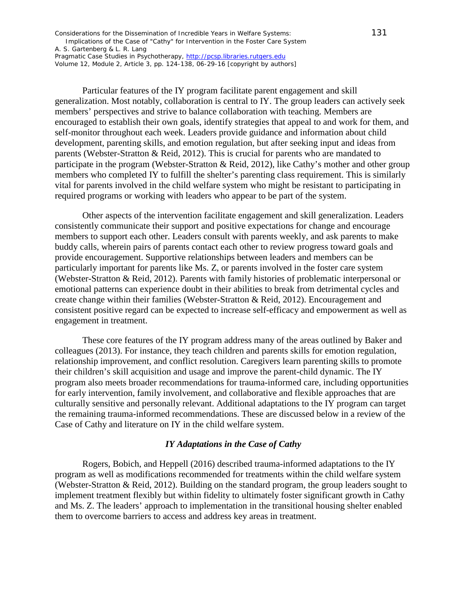Considerations for the Dissemination of Incredible Years in Welfare Systems: 131 Implications of the Case of "Cathy" for Intervention in the Foster Care System

A. S. Gartenberg & L. R. Lang *Pragmatic Case Studies in Psychotherapy*, [http://pcsp.libraries.rutgers.edu](http://pcsp.libraries.rutgers.edu/)

Volume 12, Module 2, Article 3, pp. 124-138, 06-29-16 [copyright by authors]

Particular features of the IY program facilitate parent engagement and skill generalization. Most notably, collaboration is central to IY. The group leaders can actively seek members' perspectives and strive to balance collaboration with teaching. Members are encouraged to establish their own goals, identify strategies that appeal to and work for them, and self-monitor throughout each week. Leaders provide guidance and information about child development, parenting skills, and emotion regulation, but after seeking input and ideas from parents (Webster-Stratton & Reid, 2012). This is crucial for parents who are mandated to participate in the program (Webster-Stratton & Reid, 2012), like Cathy's mother and other group members who completed IY to fulfill the shelter's parenting class requirement. This is similarly vital for parents involved in the child welfare system who might be resistant to participating in required programs or working with leaders who appear to be part of the system.

Other aspects of the intervention facilitate engagement and skill generalization. Leaders consistently communicate their support and positive expectations for change and encourage members to support each other. Leaders consult with parents weekly, and ask parents to make buddy calls, wherein pairs of parents contact each other to review progress toward goals and provide encouragement. Supportive relationships between leaders and members can be particularly important for parents like Ms. Z, or parents involved in the foster care system (Webster-Stratton & Reid, 2012). Parents with family histories of problematic interpersonal or emotional patterns can experience doubt in their abilities to break from detrimental cycles and create change within their families (Webster-Stratton & Reid, 2012). Encouragement and consistent positive regard can be expected to increase self-efficacy and empowerment as well as engagement in treatment.

These core features of the IY program address many of the areas outlined by Baker and colleagues (2013). For instance, they teach children and parents skills for emotion regulation, relationship improvement, and conflict resolution. Caregivers learn parenting skills to promote their children's skill acquisition and usage and improve the parent-child dynamic. The IY program also meets broader recommendations for trauma-informed care, including opportunities for early intervention, family involvement, and collaborative and flexible approaches that are culturally sensitive and personally relevant. Additional adaptations to the IY program can target the remaining trauma-informed recommendations. These are discussed below in a review of the Case of Cathy and literature on IY in the child welfare system.

#### *IY Adaptations in the Case of Cathy*

Rogers, Bobich, and Heppell (2016) described trauma-informed adaptations to the IY program as well as modifications recommended for treatments within the child welfare system (Webster-Stratton & Reid, 2012). Building on the standard program, the group leaders sought to implement treatment flexibly but within fidelity to ultimately foster significant growth in Cathy and Ms. Z. The leaders' approach to implementation in the transitional housing shelter enabled them to overcome barriers to access and address key areas in treatment.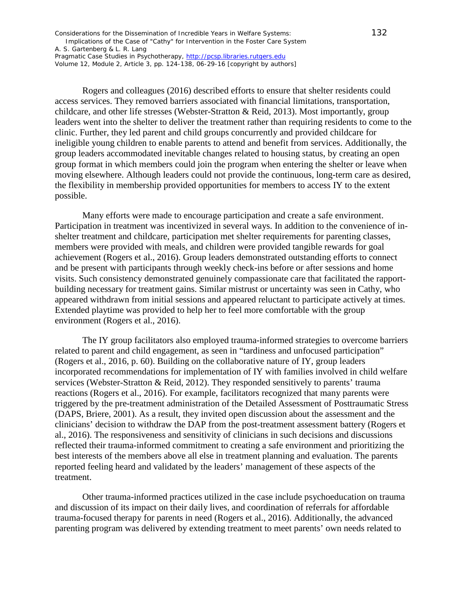Considerations for the Dissemination of Incredible Years in Welfare Systems: 132 Implications of the Case of "Cathy" for Intervention in the Foster Care System

A. S. Gartenberg & L. R. Lang

*Pragmatic Case Studies in Psychotherapy*, [http://pcsp.libraries.rutgers.edu](http://pcsp.libraries.rutgers.edu/) Volume 12, Module 2, Article 3, pp. 124-138, 06-29-16 [copyright by authors]

Rogers and colleagues (2016) described efforts to ensure that shelter residents could access services. They removed barriers associated with financial limitations, transportation, childcare, and other life stresses (Webster-Stratton & Reid, 2013). Most importantly, group leaders went into the shelter to deliver the treatment rather than requiring residents to come to the clinic. Further, they led parent and child groups concurrently and provided childcare for ineligible young children to enable parents to attend and benefit from services. Additionally, the group leaders accommodated inevitable changes related to housing status, by creating an open group format in which members could join the program when entering the shelter or leave when moving elsewhere. Although leaders could not provide the continuous, long-term care as desired, the flexibility in membership provided opportunities for members to access IY to the extent possible.

Many efforts were made to encourage participation and create a safe environment. Participation in treatment was incentivized in several ways. In addition to the convenience of inshelter treatment and childcare, participation met shelter requirements for parenting classes, members were provided with meals, and children were provided tangible rewards for goal achievement (Rogers et al., 2016). Group leaders demonstrated outstanding efforts to connect and be present with participants through weekly check-ins before or after sessions and home visits. Such consistency demonstrated genuinely compassionate care that facilitated the rapportbuilding necessary for treatment gains. Similar mistrust or uncertainty was seen in Cathy, who appeared withdrawn from initial sessions and appeared reluctant to participate actively at times. Extended playtime was provided to help her to feel more comfortable with the group environment (Rogers et al., 2016).

The IY group facilitators also employed trauma-informed strategies to overcome barriers related to parent and child engagement, as seen in "tardiness and unfocused participation" (Rogers et al., 2016, p. 60). Building on the collaborative nature of IY, group leaders incorporated recommendations for implementation of IY with families involved in child welfare services (Webster-Stratton & Reid, 2012). They responded sensitively to parents' trauma reactions (Rogers et al., 2016). For example, facilitators recognized that many parents were triggered by the pre-treatment administration of the Detailed Assessment of Posttraumatic Stress (DAPS, Briere, 2001). As a result, they invited open discussion about the assessment and the clinicians' decision to withdraw the DAP from the post-treatment assessment battery (Rogers et al., 2016). The responsiveness and sensitivity of clinicians in such decisions and discussions reflected their trauma-informed commitment to creating a safe environment and prioritizing the best interests of the members above all else in treatment planning and evaluation. The parents reported feeling heard and validated by the leaders' management of these aspects of the treatment.

Other trauma-informed practices utilized in the case include psychoeducation on trauma and discussion of its impact on their daily lives, and coordination of referrals for affordable trauma-focused therapy for parents in need (Rogers et al., 2016). Additionally, the advanced parenting program was delivered by extending treatment to meet parents' own needs related to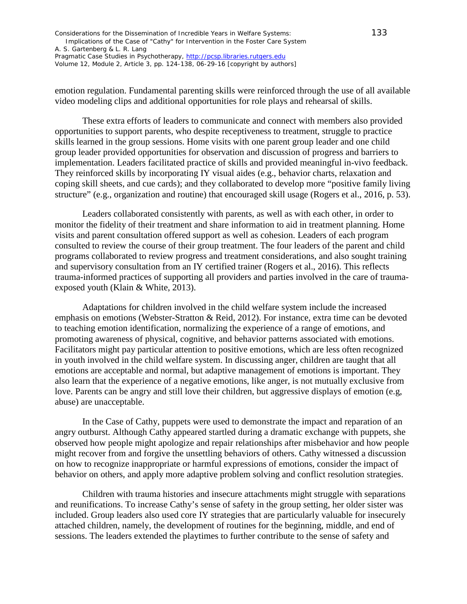| Considerations for the Dissemination of Incredible Years in Welfare Systems:      | 133 |
|-----------------------------------------------------------------------------------|-----|
| Implications of the Case of "Cathy" for Intervention in the Foster Care System    |     |
| A. S. Gartenberg & L. R. Lang                                                     |     |
| <i>Pragmatic Case Studies in Psychotherapy, http://pcsp.libraries.rutgers.edu</i> |     |
| Volume 12, Module 2, Article 3, pp. 124-138, 06-29-16 [copyright by authors]      |     |

emotion regulation. Fundamental parenting skills were reinforced through the use of all available video modeling clips and additional opportunities for role plays and rehearsal of skills.

These extra efforts of leaders to communicate and connect with members also provided opportunities to support parents, who despite receptiveness to treatment, struggle to practice skills learned in the group sessions. Home visits with one parent group leader and one child group leader provided opportunities for observation and discussion of progress and barriers to implementation. Leaders facilitated practice of skills and provided meaningful in-vivo feedback. They reinforced skills by incorporating IY visual aides (e.g., behavior charts, relaxation and coping skill sheets, and cue cards); and they collaborated to develop more "positive family living structure" (e.g., organization and routine) that encouraged skill usage (Rogers et al., 2016, p. 53).

Leaders collaborated consistently with parents, as well as with each other, in order to monitor the fidelity of their treatment and share information to aid in treatment planning. Home visits and parent consultation offered support as well as cohesion. Leaders of each program consulted to review the course of their group treatment. The four leaders of the parent and child programs collaborated to review progress and treatment considerations, and also sought training and supervisory consultation from an IY certified trainer (Rogers et al., 2016). This reflects trauma-informed practices of supporting all providers and parties involved in the care of traumaexposed youth (Klain & White, 2013).

Adaptations for children involved in the child welfare system include the increased emphasis on emotions (Webster-Stratton & Reid, 2012). For instance, extra time can be devoted to teaching emotion identification, normalizing the experience of a range of emotions, and promoting awareness of physical, cognitive, and behavior patterns associated with emotions. Facilitators might pay particular attention to positive emotions, which are less often recognized in youth involved in the child welfare system. In discussing anger, children are taught that all emotions are acceptable and normal, but adaptive management of emotions is important. They also learn that the experience of a negative emotions, like anger, is not mutually exclusive from love. Parents can be angry and still love their children, but aggressive displays of emotion (e.g, abuse) are unacceptable.

In the Case of Cathy, puppets were used to demonstrate the impact and reparation of an angry outburst. Although Cathy appeared startled during a dramatic exchange with puppets, she observed how people might apologize and repair relationships after misbehavior and how people might recover from and forgive the unsettling behaviors of others. Cathy witnessed a discussion on how to recognize inappropriate or harmful expressions of emotions, consider the impact of behavior on others, and apply more adaptive problem solving and conflict resolution strategies.

Children with trauma histories and insecure attachments might struggle with separations and reunifications. To increase Cathy's sense of safety in the group setting, her older sister was included. Group leaders also used core IY strategies that are particularly valuable for insecurely attached children, namely, the development of routines for the beginning, middle, and end of sessions. The leaders extended the playtimes to further contribute to the sense of safety and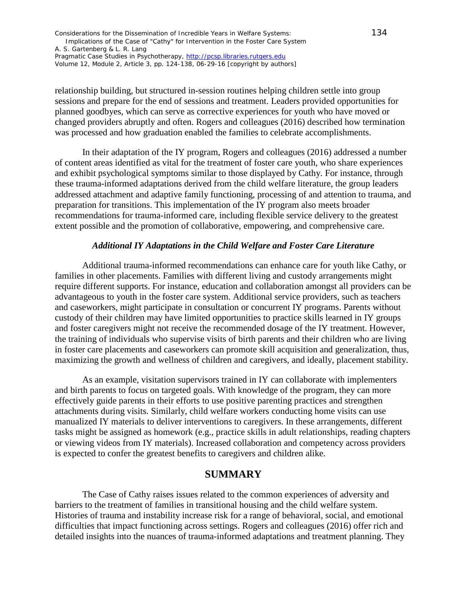| Considerations for the Dissemination of Incredible Years in Welfare Systems:      | 134 |
|-----------------------------------------------------------------------------------|-----|
| Implications of the Case of "Cathy" for Intervention in the Foster Care System    |     |
| A. S. Gartenberg & L. R. Lang                                                     |     |
| <i>Pragmatic Case Studies in Psychotherapy, http://pcsp.libraries.rutgers.edu</i> |     |
| Volume 12, Module 2, Article 3, pp. 124-138, 06-29-16 [copyright by authors]      |     |

relationship building, but structured in-session routines helping children settle into group sessions and prepare for the end of sessions and treatment. Leaders provided opportunities for planned goodbyes, which can serve as corrective experiences for youth who have moved or changed providers abruptly and often. Rogers and colleagues (2016) described how termination was processed and how graduation enabled the families to celebrate accomplishments.

In their adaptation of the IY program, Rogers and colleagues (2016) addressed a number of content areas identified as vital for the treatment of foster care youth, who share experiences and exhibit psychological symptoms similar to those displayed by Cathy. For instance, through these trauma-informed adaptations derived from the child welfare literature, the group leaders addressed attachment and adaptive family functioning, processing of and attention to trauma, and preparation for transitions. This implementation of the IY program also meets broader recommendations for trauma-informed care, including flexible service delivery to the greatest extent possible and the promotion of collaborative, empowering, and comprehensive care.

#### *Additional IY Adaptations in the Child Welfare and Foster Care Literature*

Additional trauma-informed recommendations can enhance care for youth like Cathy, or families in other placements. Families with different living and custody arrangements might require different supports. For instance, education and collaboration amongst all providers can be advantageous to youth in the foster care system. Additional service providers, such as teachers and caseworkers, might participate in consultation or concurrent IY programs. Parents without custody of their children may have limited opportunities to practice skills learned in IY groups and foster caregivers might not receive the recommended dosage of the IY treatment. However, the training of individuals who supervise visits of birth parents and their children who are living in foster care placements and caseworkers can promote skill acquisition and generalization, thus, maximizing the growth and wellness of children and caregivers, and ideally, placement stability.

As an example, visitation supervisors trained in IY can collaborate with implementers and birth parents to focus on targeted goals. With knowledge of the program, they can more effectively guide parents in their efforts to use positive parenting practices and strengthen attachments during visits. Similarly, child welfare workers conducting home visits can use manualized IY materials to deliver interventions to caregivers. In these arrangements, different tasks might be assigned as homework (e.g., practice skills in adult relationships, reading chapters or viewing videos from IY materials). Increased collaboration and competency across providers is expected to confer the greatest benefits to caregivers and children alike.

### **SUMMARY**

The Case of Cathy raises issues related to the common experiences of adversity and barriers to the treatment of families in transitional housing and the child welfare system. Histories of trauma and instability increase risk for a range of behavioral, social, and emotional difficulties that impact functioning across settings. Rogers and colleagues (2016) offer rich and detailed insights into the nuances of trauma-informed adaptations and treatment planning. They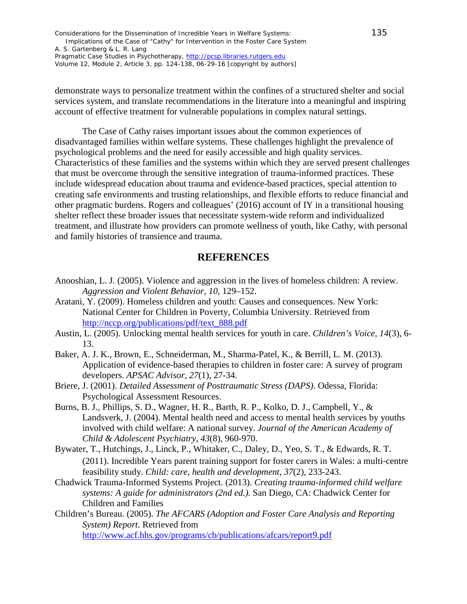Considerations for the Dissemination of Incredible Years in Welfare Systems: 135 Implications of the Case of "Cathy" for Intervention in the Foster Care System A. S. Gartenberg & L. R. Lang *Pragmatic Case Studies in Psychotherapy*, [http://pcsp.libraries.rutgers.edu](http://pcsp.libraries.rutgers.edu/) Volume 12, Module 2, Article 3, pp. 124-138, 06-29-16 [copyright by authors]

demonstrate ways to personalize treatment within the confines of a structured shelter and social services system, and translate recommendations in the literature into a meaningful and inspiring account of effective treatment for vulnerable populations in complex natural settings.

The Case of Cathy raises important issues about the common experiences of disadvantaged families within welfare systems. These challenges highlight the prevalence of psychological problems and the need for easily accessible and high quality services. Characteristics of these families and the systems within which they are served present challenges that must be overcome through the sensitive integration of trauma-informed practices. These include widespread education about trauma and evidence-based practices, special attention to creating safe environments and trusting relationships, and flexible efforts to reduce financial and other pragmatic burdens. Rogers and colleagues' (2016) account of IY in a transitional housing shelter reflect these broader issues that necessitate system-wide reform and individualized treatment, and illustrate how providers can promote wellness of youth, like Cathy, with personal and family histories of transience and trauma.

### **REFERENCES**

- Anooshian, L. J. (2005). Violence and aggression in the lives of homeless children: A review. *Aggression and Violent Behavior, 10*, 129–152.
- Aratani, Y. (2009). Homeless children and youth: Causes and consequences. New York: National Center for Children in Poverty, Columbia University. Retrieved from http://nccp.org/publications/pdf/text\_888.pdf
- Austin, L. (2005). Unlocking mental health services for youth in care. *Children's Voice, 14*(3), 6- 13.
- Baker, A. J. K., Brown, E., Schneiderman, M., Sharma-Patel, K., & Berrill, L. M. (2013). Application of evidence-based therapies to children in foster care: A survey of program developers. *APSAC Advisor, 27*(1), 27-34.
- Briere, J. (2001). *Detailed Assessment of Posttraumatic Stress (DAPS)*. Odessa, Florida: Psychological Assessment Resources.
- Burns, B. J., Phillips, S. D., Wagner, H. R., Barth, R. P., Kolko, D. J., Campbell, Y., & Landsverk, J. (2004). Mental health need and access to mental health services by youths involved with child welfare: A national survey. *Journal of the American Academy of Child & Adolescent Psychiatry*, *43*(8), 960-970.
- Bywater, T., Hutchings, J., Linck, P., Whitaker, C., Daley, D., Yeo, S. T., & Edwards, R. T. (2011). Incredible Years parent training support for foster carers in Wales: a multi‐centre feasibility study. *Child: care, health and development*, *37*(2), 233-243.
- Chadwick Trauma-Informed Systems Project. (2013). *Creating trauma-informed child welfare systems: A guide for administrators (2nd ed.).* San Diego, CA: Chadwick Center for Children and Families
- Children's Bureau. (2005). *The AFCARS (Adoption and Foster Care Analysis and Reporting System) Report.* Retrieved from http://www.acf.hhs.gov/programs/cb/publications/afcars/report9.pdf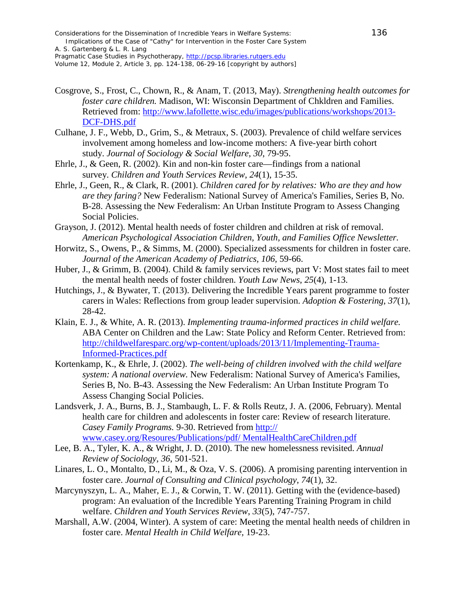Considerations for the Dissemination of Incredible Years in Welfare Systems: 136 Implications of the Case of "Cathy" for Intervention in the Foster Care System A. S. Gartenberg & L. R. Lang

*Pragmatic Case Studies in Psychotherapy*, [http://pcsp.libraries.rutgers.edu](http://pcsp.libraries.rutgers.edu/) Volume 12, Module 2, Article 3, pp. 124-138, 06-29-16 [copyright by authors]

- Cosgrove, S., Frost, C., Chown, R., & Anam, T. (2013, May). *Strengthening health outcomes for foster care children.* Madison, WI: Wisconsin Department of Chkldren and Families. Retrieved from: http://www.lafollette.wisc.edu/images/publications/workshops/2013- DCF-DHS.pdf
- Culhane, J. F., Webb, D., Grim, S., & Metraux, S. (2003). Prevalence of child welfare services involvement among homeless and low-income mothers: A five-year birth cohort study. *Journal of Sociology & Social Welfare*, *30*, 79-95.
- Ehrle, J., & Geen, R. (2002). Kin and non-kin foster care—findings from a national survey. *Children and Youth Services Review*, *24*(1), 15-35.
- Ehrle, J., Geen, R., & Clark, R. (2001). *Children cared for by relatives: Who are they and how are they faring?* New Federalism: National Survey of America's Families, Series B, No. B-28. Assessing the New Federalism: An Urban Institute Program to Assess Changing Social Policies.
- Grayson, J. (2012). Mental health needs of foster children and children at risk of removal. *American Psychological Association Children, Youth, and Families Office Newsletter.*
- Horwitz, S., Owens, P., & Simms, M. (2000). Specialized assessments for children in foster care. *Journal of the American Academy of Pediatrics, 106,* 59-66.
- Huber, J., & Grimm, B. (2004). Child & family services reviews, part V: Most states fail to meet the mental health needs of foster children. *Youth Law News*, *25*(4), 1-13.
- Hutchings, J., & Bywater, T. (2013). Delivering the Incredible Years parent programme to foster carers in Wales: Reflections from group leader supervision. *Adoption & Fostering*, *37*(1), 28-42.
- Klain, E. J., & White, A. R. (2013). *Implementing trauma-informed practices in child welfare.*  ABA Center on Children and the Law: State Policy and Reform Center. Retrieved from: http://childwelfaresparc.org/wp-content/uploads/2013/11/Implementing-Trauma-Informed-Practices.pdf
- Kortenkamp, K., & Ehrle, J. (2002). *The well-being of children involved with the child welfare system: A national overview.* New Federalism: National Survey of America's Families, Series B, No. B-43. Assessing the New Federalism: An Urban Institute Program To Assess Changing Social Policies.
- Landsverk, J. A., Burns, B. J., Stambaugh, L. F. & Rolls Reutz, J. A. (2006, February). Mental health care for children and adolescents in foster care: Review of research literature. *Casey Family Programs.* 9-30. Retrieved from http:// www.casey.org/Resoures/Publications/pdf/ MentalHealthCareChildren.pdf
- Lee, B. A., Tyler, K. A., & Wright, J. D. (2010). The new homelessness revisited. *Annual Review of Sociology*, *36*, 501-521.
- Linares, L. O., Montalto, D., Li, M., & Oza, V. S. (2006). A promising parenting intervention in foster care. *Journal of Consulting and Clinical psychology*, *74*(1), 32.
- Marcynyszyn, L. A., Maher, E. J., & Corwin, T. W. (2011). Getting with the (evidence-based) program: An evaluation of the Incredible Years Parenting Training Program in child welfare. *Children and Youth Services Review*, *33*(5), 747-757.
- Marshall, A.W. (2004, Winter). A system of care: Meeting the mental health needs of children in foster care. *Mental Health in Child Welfare,* 19-23.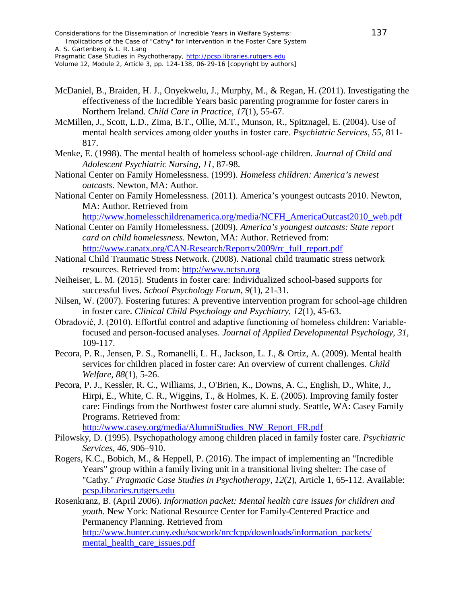*Pragmatic Case Studies in Psychotherapy*, [http://pcsp.libraries.rutgers.edu](http://pcsp.libraries.rutgers.edu/) Volume 12, Module 2, Article 3, pp. 124-138, 06-29-16 [copyright by authors]

- McDaniel, B., Braiden, H. J., Onyekwelu, J., Murphy, M., & Regan, H. (2011). Investigating the effectiveness of the Incredible Years basic parenting programme for foster carers in Northern Ireland. *Child Care in Practice*, *17*(1), 55-67.
- McMillen, J., Scott, L.D., Zima, B.T., Ollie, M.T., Munson, R., Spitznagel, E. (2004). Use of mental health services among older youths in foster care. *Psychiatric Services, 55,* 811- 817.
- Menke, E. (1998). The mental health of homeless school-age children. *Journal of Child and Adolescent Psychiatric Nursing, 11,* 87-98.
- National Center on Family Homelessness. (1999). *Homeless children: America's newest outcasts.* Newton, MA: Author.
- National Center on Family Homelessness. (2011). America's youngest outcasts 2010. Newton, MA: Author. Retrieved from

http://www.homelesschildrenamerica.org/media/NCFH\_AmericaOutcast2010\_web.pdf

- National Center on Family Homelessness. (2009). *America's youngest outcasts: State report card on child homelessness.* Newton, MA: Author. Retrieved from: http://www.canatx.org/CAN-Research/Reports/2009/rc\_full\_report.pdf
- National Child Traumatic Stress Network. (2008). National child traumatic stress network resources. Retrieved from: http://www.nctsn.org
- Neiheiser, L. M. (2015). Students in foster care: Individualized school-based supports for successful lives. *School Psychology Forum, 9*(1), 21-31.
- Nilsen, W. (2007). Fostering futures: A preventive intervention program for school-age children in foster care. *Clinical Child Psychology and Psychiatry*, *12*(1), 45-63.
- Obradović, J. (2010). Effortful control and adaptive functioning of homeless children: Variablefocused and person-focused analyses. *Journal of Applied Developmental Psychology*, *31,*  109-117.
- Pecora, P. R., Jensen, P. S., Romanelli, L. H., Jackson, L. J., & Ortiz, A. (2009). Mental health services for children placed in foster care: An overview of current challenges. *Child Welfare, 88*(1), 5-26.
- Pecora, P. J., Kessler, R. C., Williams, J., O'Brien, K., Downs, A. C., English, D., White, J., Hirpi, E., White, C. R., Wiggins, T., & Holmes, K. E. (2005). Improving family foster care: Findings from the Northwest foster care alumni study. Seattle, WA: Casey Family Programs. Retrieved from:

http://www.casey.org/media/AlumniStudies\_NW\_Report\_FR.pdf

- Pilowsky, D. (1995). Psychopathology among children placed in family foster care. *Psychiatric Services, 46*, 906–910.
- Rogers, K.C., Bobich, M., & Heppell, P. (2016). The impact of implementing an "Incredible Years" group within a family living unit in a transitional living shelter: The case of "Cathy." *Pragmatic Case Studies in Psychotherapy, 12*(2), Article 1, 65-112. Available: pcsp.libraries.rutgers.edu
- Rosenkranz, B. (April 2006). *Information packet: Mental health care issues for children and youth.* New York: National Resource Center for Family-Centered Practice and Permanency Planning. Retrieved from http://www.hunter.cuny.edu/socwork/nrcfcpp/downloads/information\_packets/ mental\_health\_care\_issues.pdf